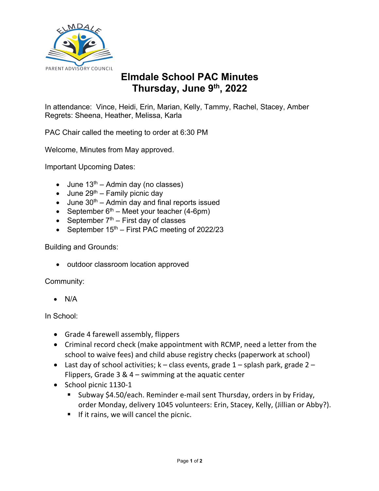

## **Elmdale School PAC Minutes Thursday, June 9th, 2022**

In attendance: Vince, Heidi, Erin, Marian, Kelly, Tammy, Rachel, Stacey, Amber Regrets: Sheena, Heather, Melissa, Karla

PAC Chair called the meeting to order at 6:30 PM

Welcome, Minutes from May approved.

Important Upcoming Dates:

- June  $13^{th}$  Admin day (no classes)
- June  $29<sup>th</sup>$  Family picnic day
- $\bullet$  June 30<sup>th</sup> Admin day and final reports issued
- September  $6<sup>th</sup>$  Meet your teacher (4-6pm)
- September  $7<sup>th</sup>$  First day of classes
- September  $15<sup>th</sup>$  First PAC meeting of 2022/23

## Building and Grounds:

• outdoor classroom location approved

Community:

• N/A

## In School:

- Grade 4 farewell assembly, flippers
- Criminal record check (make appointment with RCMP, need a letter from the school to waive fees) and child abuse registry checks (paperwork at school)
- Last day of school activities;  $k -$  class events, grade  $1 -$  splash park, grade  $2 -$ Flippers, Grade 3 & 4 – swimming at the aquatic center
- School picnic 1130-1
	- Subway \$4.50/each. Reminder e-mail sent Thursday, orders in by Friday, order Monday, delivery 1045 volunteers: Erin, Stacey, Kelly, (Jillian or Abby?).
	- **•** If it rains, we will cancel the picnic.